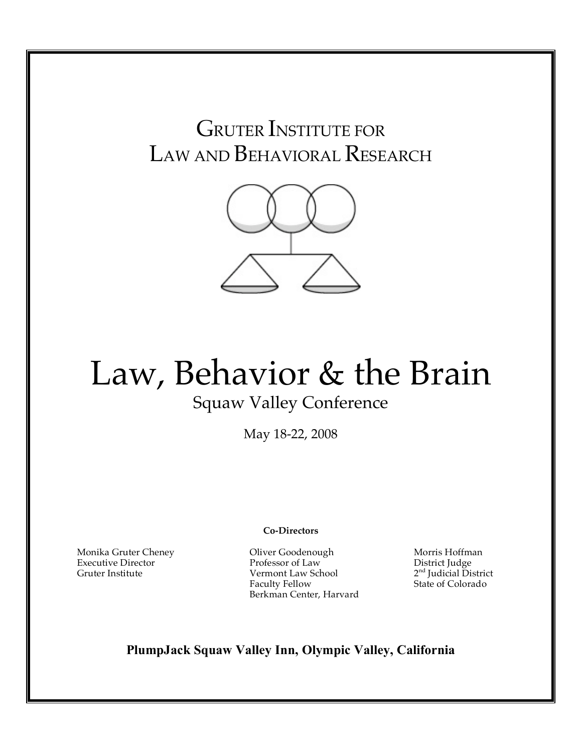## GRUTER INSTITUTE FOR LAW AND BEHAVIORAL RESEARCH



# Law, Behavior & the Brain Squaw Valley Conference

May 18-22, 2008

**Co-Directors**

Monika Gruter Cheney Executive Director

Gruter Institute

Oliver Goodenough Professor of Law Vermont Law School Faculty Fellow Berkman Center, Harvard

Morris Hoffman District Judge 2<sup>nd</sup> Judicial District State of Colorado

**PlumpJack Squaw Valley Inn, Olympic Valley, California**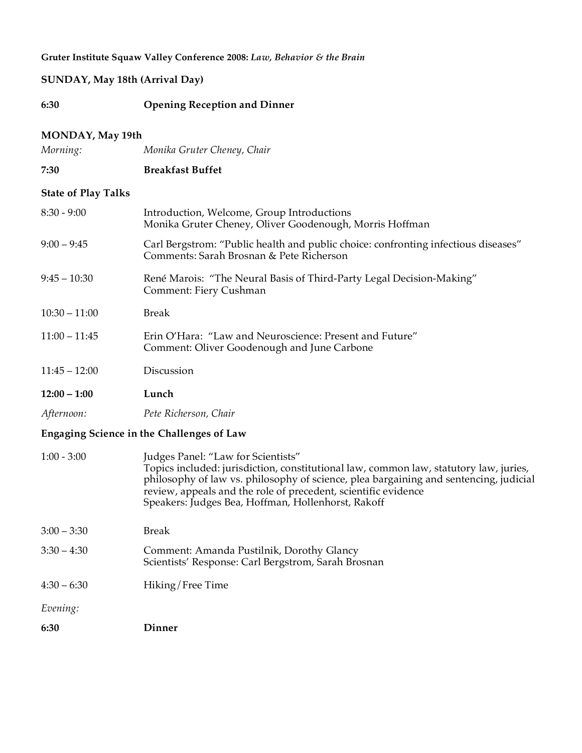#### **SUNDAY, May 18th (Arrival Day)**

**6:30 Opening Reception and Dinner**

#### **MONDAY, May 19th**

*Morning: Monika Gruter Cheney, Chair*

#### **7:30 Breakfast Buffet**

#### **State of Play Talks**

| $8:30 - 9:00$   | Introduction, Welcome, Group Introductions<br>Monika Gruter Cheney, Oliver Goodenough, Morris Hoffman                          |
|-----------------|--------------------------------------------------------------------------------------------------------------------------------|
| $9:00 - 9:45$   | Carl Bergstrom: "Public health and public choice: confronting infectious diseases"<br>Comments: Sarah Brosnan & Pete Richerson |
| $9:45 - 10:30$  | René Marois: "The Neural Basis of Third-Party Legal Decision-Making"<br>Comment: Fiery Cushman                                 |
| $10:30 - 11:00$ | <b>Break</b>                                                                                                                   |
| $11:00 - 11:45$ | Erin O'Hara: "Law and Neuroscience: Present and Future"<br>Comment: Oliver Goodenough and June Carbone                         |
| $11:45 - 12:00$ | Discussion                                                                                                                     |

**12:00 – 1:00 Lunch**

*Afternoon: Pete Richerson, Chair*

#### **Engaging Science in the Challenges of Law**

| $1:00 - 3:00$ | Judges Panel: "Law for Scientists"<br>Topics included: jurisdiction, constitutional law, common law, statutory law, juries,<br>philosophy of law vs. philosophy of science, plea bargaining and sentencing, judicial<br>review, appeals and the role of precedent, scientific evidence<br>Speakers: Judges Bea, Hoffman, Hollenhorst, Rakoff |
|---------------|----------------------------------------------------------------------------------------------------------------------------------------------------------------------------------------------------------------------------------------------------------------------------------------------------------------------------------------------|
| $3:00 - 3:30$ | Break                                                                                                                                                                                                                                                                                                                                        |

- 3:30 4:30 Comment: Amanda Pustilnik, Dorothy Glancy Scientists' Response: Carl Bergstrom, Sarah Brosnan
- 4:30 6:30 Hiking/Free Time

*Evening:*

**6:30 Dinner**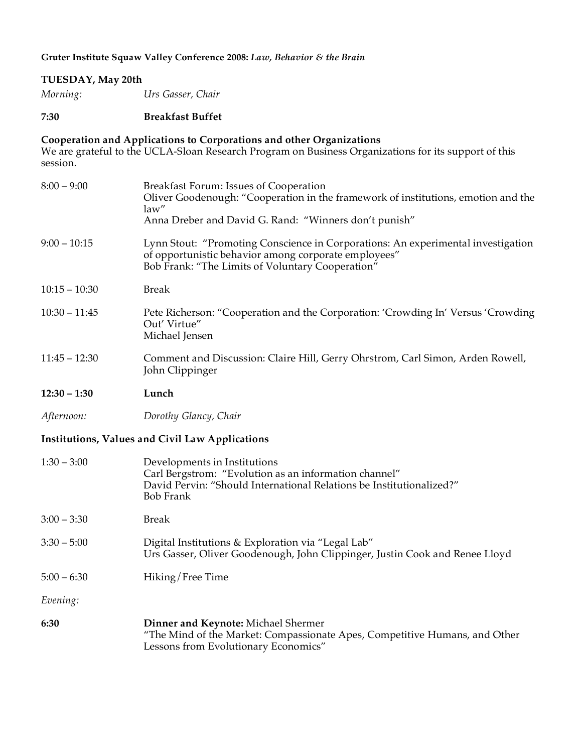#### **TUESDAY, May 20th**

*Morning: Urs Gasser, Chair*

#### **7:30 Breakfast Buffet**

#### **Cooperation and Applications to Corporations and other Organizations**

We are grateful to the UCLA-Sloan Research Program on Business Organizations for its support of this session.

| $8:00 - 9:00$   | Breakfast Forum: Issues of Cooperation<br>Oliver Goodenough: "Cooperation in the framework of institutions, emotion and the<br>law"<br>Anna Dreber and David G. Rand: "Winners don't punish" |
|-----------------|----------------------------------------------------------------------------------------------------------------------------------------------------------------------------------------------|
| $9:00 - 10:15$  | Lynn Stout: "Promoting Conscience in Corporations: An experimental investigation<br>of opportunistic behavior among corporate employees"<br>Bob Frank: "The Limits of Voluntary Cooperation" |
| $10:15 - 10:30$ | <b>Break</b>                                                                                                                                                                                 |
| $10:30 - 11:45$ | Pete Richerson: "Cooperation and the Corporation: 'Crowding In' Versus 'Crowding<br>Out' Virtue"<br>Michael Jensen                                                                           |
| $11:45 - 12:30$ | Comment and Discussion: Claire Hill, Gerry Ohrstrom, Carl Simon, Arden Rowell,<br>John Clippinger                                                                                            |
| $12:30 - 1:30$  | Lunch                                                                                                                                                                                        |
| Afternoon:      | Dorothy Glancy, Chair                                                                                                                                                                        |
|                 | Institutions, Values and Civil Law Applications                                                                                                                                              |
| $1:30 - 3:00$   | Developments in Institutions<br>Carl Bergstrom: "Evolution as an information channel"<br>David Pervin: "Should International Relations be Institutionalized?"<br><b>Bob Frank</b>            |
| $3:00 - 3:30$   | <b>Break</b>                                                                                                                                                                                 |
| $3:30 - 5:00$   | Digital Institutions & Exploration via "Legal Lab"<br>Urs Gasser, Oliver Goodenough, John Clippinger, Justin Cook and Renee Lloyd                                                            |
| $5:00 - 6:30$   | Hiking/Free Time                                                                                                                                                                             |
| Evening:        |                                                                                                                                                                                              |
| 6:30            | Dinner and Keynote: Michael Shermer<br>"The Mind of the Market: Compassionate Apes, Competitive Humans, and Other<br>Lessons from Evolutionary Economics"                                    |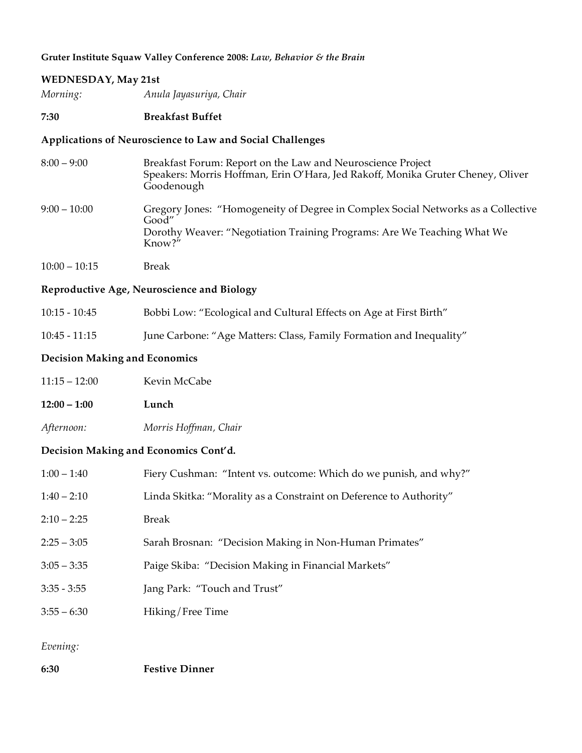#### **WEDNESDAY, May 21st**

*Morning: Anula Jayasuriya, Chair*

#### **7:30 Breakfast Buffet**

#### **Applications of Neuroscience to Law and Social Challenges**

| $8:00 - 9:00$  | Breakfast Forum: Report on the Law and Neuroscience Project<br>Speakers: Morris Hoffman, Erin O'Hara, Jed Rakoff, Monika Gruter Cheney, Oliver<br>Goodenough                   |
|----------------|--------------------------------------------------------------------------------------------------------------------------------------------------------------------------------|
| $9:00 - 10:00$ | Gregory Jones: "Homogeneity of Degree in Complex Social Networks as a Collective<br>Good"<br>Dorothy Weaver: "Negotiation Training Programs: Are We Teaching What We<br>Know?" |

10:00 – 10:15 Break

**Reproductive Age, Neuroscience and Biology**

| $10:15 - 10:45$ |  | Bobbi Low: "Ecological and Cultural Effects on Age at First Birth" |
|-----------------|--|--------------------------------------------------------------------|
|-----------------|--|--------------------------------------------------------------------|

10:45 - 11:15 June Carbone: "Age Matters: Class, Family Formation and Inequality"

#### **Decision Making and Economics**

| $11:15 - 12:00$ | Kevin McCabe |
|-----------------|--------------|
| $12:00 - 1:00$  | Lunch        |

*Afternoon: Morris Hoffman, Chair*

#### **Decision Making and Economics Cont'd.**

| $1:00 - 1:40$ | Fiery Cushman: "Intent vs. outcome: Which do we punish, and why?"  |
|---------------|--------------------------------------------------------------------|
| $1:40 - 2:10$ | Linda Skitka: "Morality as a Constraint on Deference to Authority" |
| $2:10 - 2:25$ | Break                                                              |
| $2:25 - 3:05$ | Sarah Brosnan: "Decision Making in Non-Human Primates"             |
| $3:05 - 3:35$ | Paige Skiba: "Decision Making in Financial Markets"                |
| $3:35 - 3:55$ | Jang Park: "Touch and Trust"                                       |
| $3:55 - 6:30$ | Hiking/Free Time                                                   |
|               |                                                                    |

*Evening:*

**6:30 Festive Dinner**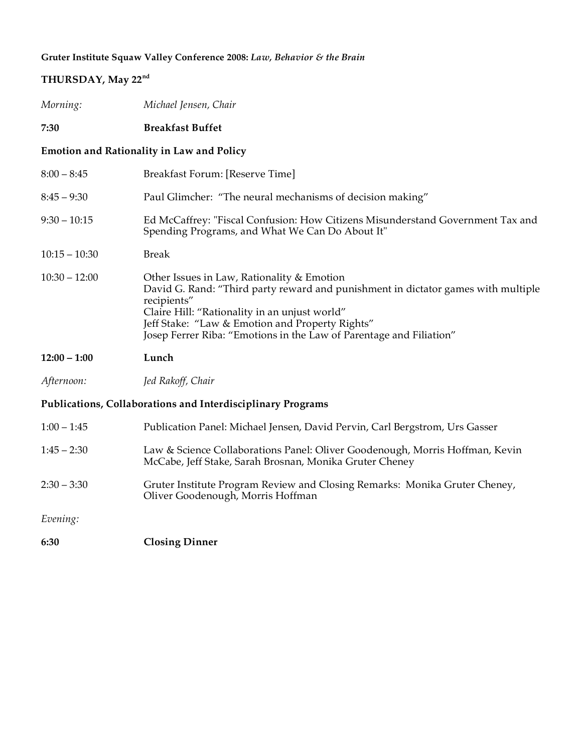| THURSDAY, May 22 <sup>nd</sup>                              |                                                                                                                                                                                                                                                                                                                           |  |
|-------------------------------------------------------------|---------------------------------------------------------------------------------------------------------------------------------------------------------------------------------------------------------------------------------------------------------------------------------------------------------------------------|--|
| Morning:                                                    | Michael Jensen, Chair                                                                                                                                                                                                                                                                                                     |  |
| 7:30                                                        | <b>Breakfast Buffet</b>                                                                                                                                                                                                                                                                                                   |  |
| <b>Emotion and Rationality in Law and Policy</b>            |                                                                                                                                                                                                                                                                                                                           |  |
| $8:00 - 8:45$                                               | Breakfast Forum: [Reserve Time]                                                                                                                                                                                                                                                                                           |  |
| $8:45 - 9:30$                                               | Paul Glimcher: "The neural mechanisms of decision making"                                                                                                                                                                                                                                                                 |  |
| $9:30 - 10:15$                                              | Ed McCaffrey: "Fiscal Confusion: How Citizens Misunderstand Government Tax and<br>Spending Programs, and What We Can Do About It"                                                                                                                                                                                         |  |
| $10:15 - 10:30$                                             | <b>Break</b>                                                                                                                                                                                                                                                                                                              |  |
| $10:30 - 12:00$                                             | Other Issues in Law, Rationality & Emotion<br>David G. Rand: "Third party reward and punishment in dictator games with multiple<br>recipients"<br>Claire Hill: "Rationality in an unjust world"<br>Jeff Stake: "Law & Emotion and Property Rights"<br>Josep Ferrer Riba: "Emotions in the Law of Parentage and Filiation" |  |
| $12:00 - 1:00$                                              | Lunch                                                                                                                                                                                                                                                                                                                     |  |
| Afternoon:                                                  | Jed Rakoff, Chair                                                                                                                                                                                                                                                                                                         |  |
| Publications, Collaborations and Interdisciplinary Programs |                                                                                                                                                                                                                                                                                                                           |  |
| $1:00 - 1:45$                                               | Publication Panel: Michael Jensen, David Pervin, Carl Bergstrom, Urs Gasser                                                                                                                                                                                                                                               |  |
| $1:45 - 2:30$                                               | Law & Science Collaborations Panel: Oliver Goodenough, Morris Hoffman, Kevin<br>McCabe, Jeff Stake, Sarah Brosnan, Monika Gruter Cheney                                                                                                                                                                                   |  |
| $2:30 - 3:30$                                               | Gruter Institute Program Review and Closing Remarks: Monika Gruter Cheney,<br>Oliver Goodenough, Morris Hoffman                                                                                                                                                                                                           |  |
| Evening:                                                    |                                                                                                                                                                                                                                                                                                                           |  |

**6:30 Closing Dinner**